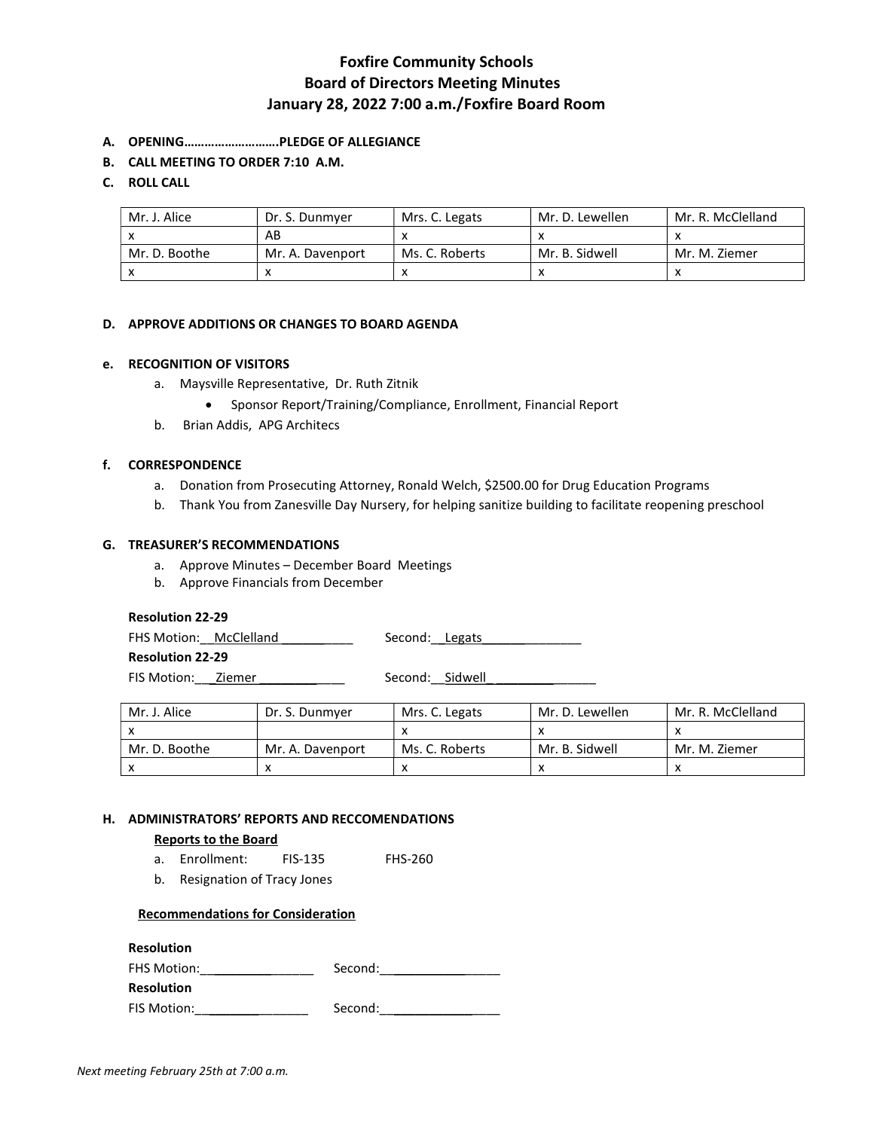# Foxfire Community Schools Board of Directors Meeting Minutes January 28, 2022 7:00 a.m./Foxfire Board Room

- A. OPENING……………………….PLEDGE OF ALLEGIANCE
- B. CALL MEETING TO ORDER 7:10 A.M.

### C. ROLL CALL

| Mr. J. Alice  | Dr. S. Dunmver   | Mrs. C. Legats | Mr. D. Lewellen | Mr. R. McClelland |
|---------------|------------------|----------------|-----------------|-------------------|
|               | AB               |                |                 |                   |
| Mr. D. Boothe | Mr. A. Davenport | Ms. C. Roberts | Mr. B. Sidwell  | Mr. M. Ziemer     |
|               |                  |                |                 |                   |

#### D. APPROVE ADDITIONS OR CHANGES TO BOARD AGENDA

#### e. RECOGNITION OF VISITORS

- a. Maysville Representative, Dr. Ruth Zitnik
	- Sponsor Report/Training/Compliance, Enrollment, Financial Report
- b. Brian Addis, APG Architecs

#### f. CORRESPONDENCE

- a. Donation from Prosecuting Attorney, Ronald Welch, \$2500.00 for Drug Education Programs
- b. Thank You from Zanesville Day Nursery, for helping sanitize building to facilitate reopening preschool

#### G. TREASURER'S RECOMMENDATIONS

- a. Approve Minutes December Board Meetings
- b. Approve Financials from December

#### Resolution 22-29

FHS Motion: McClelland \_\_\_\_\_\_\_\_\_\_ Second: Legats \_\_\_\_\_\_\_\_\_\_\_\_\_\_\_\_

Resolution 22-29

FIS Motion:\_\_\_Ziemer \_\_\_\_\_\_\_\_\_\_\_\_ Second:\_\_Sidwell\_ \_\_\_\_\_\_\_\_\_\_\_\_\_\_

| Mr. J. Alice  | Dr. S. Dunmver   | Mrs. C. Legats | Mr. D. Lewellen | Mr. R. McClelland |
|---------------|------------------|----------------|-----------------|-------------------|
|               |                  |                |                 |                   |
| Mr. D. Boothe | Mr. A. Davenport | Ms. C. Roberts | Mr. B. Sidwell  | Mr. M. Ziemer     |
|               |                  |                |                 |                   |

#### H. ADMINISTRATORS' REPORTS AND RECCOMENDATIONS

#### Reports to the Board

- a. Enrollment: FIS-135 FHS-260
- b. Resignation of Tracy Jones

#### Recommendations for Consideration

#### Resolution

| <b>FHS Motion:</b> | Second: |
|--------------------|---------|
| <b>Resolution</b>  |         |

FIS Motion:\_\_\_\_\_\_\_\_\_\_\_\_\_\_\_\_ Second:\_\_\_\_\_\_\_\_\_\_\_\_\_\_\_\_\_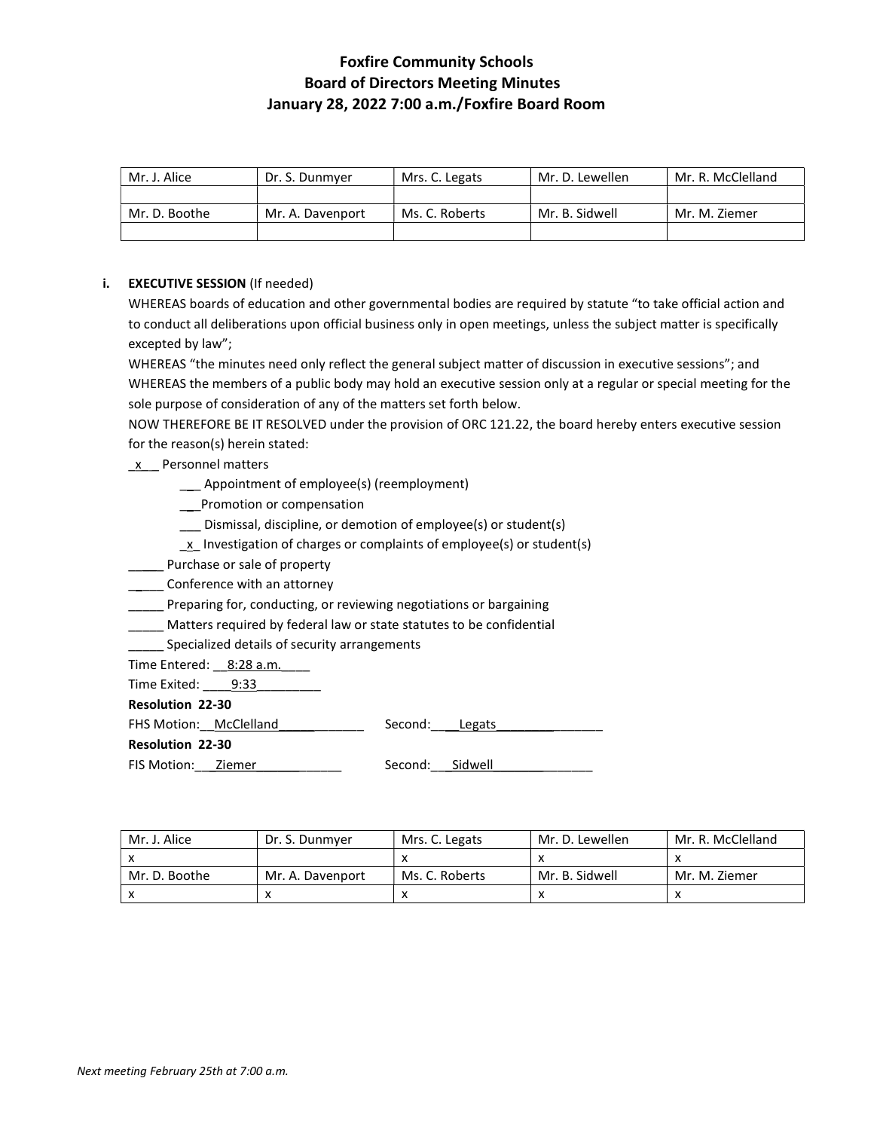# Foxfire Community Schools Board of Directors Meeting Minutes January 28, 2022 7:00 a.m./Foxfire Board Room

| Mr. J. Alice  | Dr. S. Dunmver   | Mrs. C. Legats | Mr. D. Lewellen | Mr. R. McClelland |
|---------------|------------------|----------------|-----------------|-------------------|
|               |                  |                |                 |                   |
| Mr. D. Boothe | Mr. A. Davenport | Ms. C. Roberts | Mr. B. Sidwell  | Mr. M. Ziemer     |
|               |                  |                |                 |                   |

### i. **EXECUTIVE SESSION** (If needed)

WHEREAS boards of education and other governmental bodies are required by statute "to take official action and to conduct all deliberations upon official business only in open meetings, unless the subject matter is specifically excepted by law";

WHEREAS "the minutes need only reflect the general subject matter of discussion in executive sessions"; and WHEREAS the members of a public body may hold an executive session only at a regular or special meeting for the sole purpose of consideration of any of the matters set forth below.

NOW THEREFORE BE IT RESOLVED under the provision of ORC 121.22, the board hereby enters executive session for the reason(s) herein stated:

- \_x\_ \_ Personnel matters
	- \_\_\_ Appointment of employee(s) (reemployment)
	- \_\_\_Promotion or compensation
	- \_\_\_ Dismissal, discipline, or demotion of employee(s) or student(s)
	- $\underline{x}$  Investigation of charges or complaints of employee(s) or student(s)
- \_\_\_\_\_ Purchase or sale of property
- **\_\_\_\_** Conference with an attorney
- **\_\_\_\_\_** Preparing for, conducting, or reviewing negotiations or bargaining
- \_\_\_\_\_ Matters required by federal law or state statutes to be confidential
- Specialized details of security arrangements

Time Entered: 8:28 a.m.

Time Exited: 9:33

Resolution 22-30

FHS Motion: McClelland Manual Second: Legats

Resolution 22-30

FIS Motion:\_\_\_Ziemer\_\_\_\_\_\_\_\_\_\_\_\_ Second:\_\_\_Sidwell\_\_\_\_\_\_\_\_\_\_\_\_\_\_

| Mr. J. Alice  | Dr. S. Dunmyer   | Mrs. C. Legats | Mr. D. Lewellen | Mr. R. McClelland |
|---------------|------------------|----------------|-----------------|-------------------|
|               |                  |                |                 |                   |
| Mr. D. Boothe | Mr. A. Davenport | Ms. C. Roberts | Mr. B. Sidwell  | Mr. M. Ziemer     |
|               |                  |                |                 |                   |